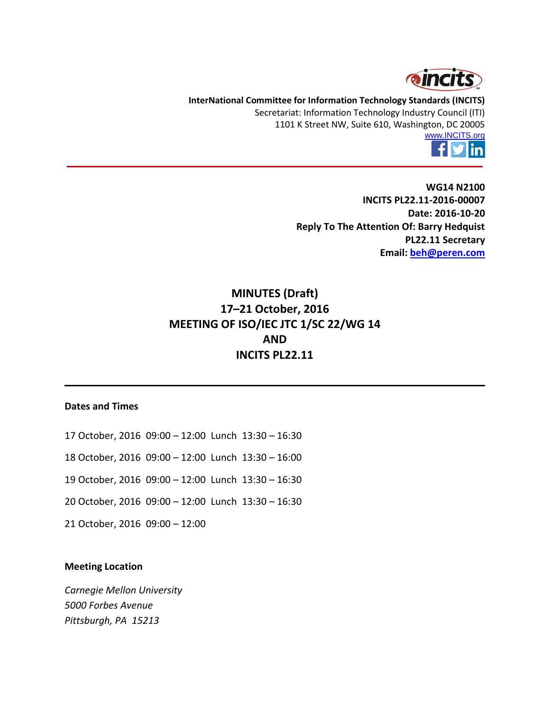

**InterNational Committee for Information Technology Standards (INCITS)** Secretariat: Information Technology Industry Council (ITI) 1101 K Street NW, Suite 610, Washington, DC 20005



**WG14 N2100 INCITS PL22.11-2016-00007 Date: 2016-10-20 Reply To The Attention Of: Barry Hedquist PL22.11 Secretary Email: [beh@peren.com](mailto:beh@peren.com)**

# **MINUTES (Draft) 17–21 October, 2016 MEETING OF ISO/IEC JTC 1/SC 22/WG 14 AND INCITS PL22.11**

#### **Dates and Times**

- 17 October, 2016 09:00 12:00 Lunch 13:30 16:30
- 18 October, 2016 09:00 12:00 Lunch 13:30 16:00
- 19 October, 2016 09:00 12:00 Lunch 13:30 16:30
- 20 October, 2016 09:00 12:00 Lunch 13:30 16:30
- 21 October, 2016 09:00 12:00

#### **Meeting Location**

*Carnegie Mellon University 5000 Forbes Avenue Pittsburgh, PA 15213*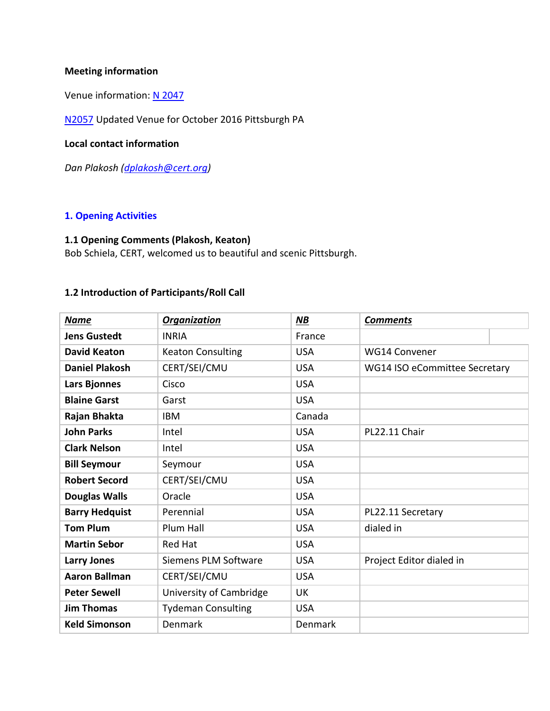### **Meeting information**

Venue information: [N 2047](http://www.open-std.org/jtc1/sc22/wg14/www/docs/n2047.pdf)

[N2057](http://www.open-std.org/jtc1/sc22/wg14/www/docs/n2057.htm) Updated Venue for October 2016 Pittsburgh PA

#### **Local contact information**

*Dan Plakosh [\(dplakosh@cert.org\)](mailto:dplakosh@cert.org)*

#### **1. Opening Activities**

### **1.1 Opening Comments (Plakosh, Keaton)**

Bob Schiela, CERT, welcomed us to beautiful and scenic Pittsburgh.

### **1.2 Introduction of Participants/Roll Call**

| <b>Name</b>           | <b>Organization</b>       | <b>NB</b>  | <b>Comments</b>               |  |
|-----------------------|---------------------------|------------|-------------------------------|--|
| <b>Jens Gustedt</b>   | <b>INRIA</b>              | France     |                               |  |
| <b>David Keaton</b>   | <b>Keaton Consulting</b>  | <b>USA</b> | <b>WG14 Convener</b>          |  |
| <b>Daniel Plakosh</b> | CERT/SEI/CMU              | <b>USA</b> | WG14 ISO eCommittee Secretary |  |
| Lars Bjonnes          | Cisco                     | <b>USA</b> |                               |  |
| <b>Blaine Garst</b>   | Garst                     | <b>USA</b> |                               |  |
| Rajan Bhakta          | <b>IBM</b>                | Canada     |                               |  |
| <b>John Parks</b>     | Intel                     | <b>USA</b> | PL22.11 Chair                 |  |
| <b>Clark Nelson</b>   | Intel                     | <b>USA</b> |                               |  |
| <b>Bill Seymour</b>   | Seymour                   | <b>USA</b> |                               |  |
| <b>Robert Secord</b>  | CERT/SEI/CMU              | <b>USA</b> |                               |  |
| <b>Douglas Walls</b>  | Oracle                    | <b>USA</b> |                               |  |
| <b>Barry Hedquist</b> | Perennial                 | <b>USA</b> | PL22.11 Secretary             |  |
| <b>Tom Plum</b>       | Plum Hall                 | <b>USA</b> | dialed in                     |  |
| <b>Martin Sebor</b>   | <b>Red Hat</b>            | <b>USA</b> |                               |  |
| <b>Larry Jones</b>    | Siemens PLM Software      | <b>USA</b> | Project Editor dialed in      |  |
| <b>Aaron Ballman</b>  | CERT/SEI/CMU              | <b>USA</b> |                               |  |
| <b>Peter Sewell</b>   | University of Cambridge   | UK         |                               |  |
| <b>Jim Thomas</b>     | <b>Tydeman Consulting</b> | <b>USA</b> |                               |  |
| <b>Keld Simonson</b>  | Denmark                   | Denmark    |                               |  |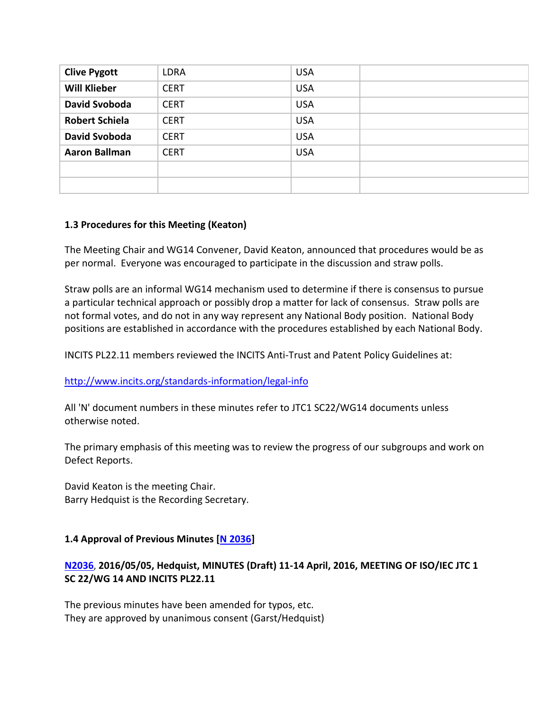| <b>Clive Pygott</b>   | <b>LDRA</b> | <b>USA</b> |  |
|-----------------------|-------------|------------|--|
| <b>Will Klieber</b>   | <b>CERT</b> | <b>USA</b> |  |
| David Svoboda         | <b>CERT</b> | <b>USA</b> |  |
| <b>Robert Schiela</b> | <b>CERT</b> | <b>USA</b> |  |
| <b>David Svoboda</b>  | <b>CERT</b> | <b>USA</b> |  |
| <b>Aaron Ballman</b>  | <b>CERT</b> | <b>USA</b> |  |
|                       |             |            |  |
|                       |             |            |  |

### **1.3 Procedures for this Meeting (Keaton)**

The Meeting Chair and WG14 Convener, David Keaton, announced that procedures would be as per normal. Everyone was encouraged to participate in the discussion and straw polls.

Straw polls are an informal WG14 mechanism used to determine if there is consensus to pursue a particular technical approach or possibly drop a matter for lack of consensus. Straw polls are not formal votes, and do not in any way represent any National Body position. National Body positions are established in accordance with the procedures established by each National Body.

INCITS PL22.11 members reviewed the INCITS Anti-Trust and Patent Policy Guidelines at:

<http://www.incits.org/standards-information/legal-info>

All 'N' document numbers in these minutes refer to JTC1 SC22/WG14 documents unless otherwise noted.

The primary emphasis of this meeting was to review the progress of our subgroups and work on Defect Reports.

David Keaton is the meeting Chair. Barry Hedquist is the Recording Secretary.

### **1.4 Approval of Previous Minutes [\[N 2036\]](http://www.open-std.org/jtc1/sc22/wg14/www/docs/n2036.pdf)**

## **[N2036](file:///C:/PERENNIAL/Standards%20Groups/PL22.11/Meetings/2016_10_Pittsburgh/docs/n2036.pdf)**, **2016/05/05, Hedquist, MINUTES (Draft) 11-14 April, 2016, MEETING OF ISO/IEC JTC 1 SC 22/WG 14 AND INCITS PL22.11**

The previous minutes have been amended for typos, etc. They are approved by unanimous consent (Garst/Hedquist)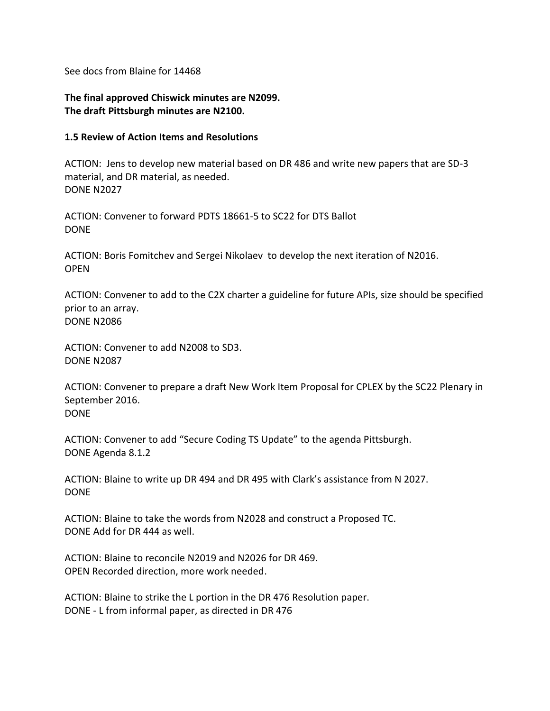See docs from Blaine for 14468

**The final approved Chiswick minutes are N2099. The draft Pittsburgh minutes are N2100.**

#### **1.5 Review of Action Items and Resolutions**

ACTION: Jens to develop new material based on DR 486 and write new papers that are SD-3 material, and DR material, as needed. DONE N2027

ACTION: Convener to forward PDTS 18661-5 to SC22 for DTS Ballot DONE

ACTION: Boris Fomitchev and Sergei Nikolaev to develop the next iteration of N2016. **OPFN** 

ACTION: Convener to add to the C2X charter a guideline for future APIs, size should be specified prior to an array. DONE N2086

ACTION: Convener to add N2008 to SD3. DONE N2087

ACTION: Convener to prepare a draft New Work Item Proposal for CPLEX by the SC22 Plenary in September 2016. DONE

ACTION: Convener to add "Secure Coding TS Update" to the agenda Pittsburgh. DONE Agenda 8.1.2

ACTION: Blaine to write up DR 494 and DR 495 with Clark's assistance from N 2027. DONE

ACTION: Blaine to take the words from N2028 and construct a Proposed TC. DONE Add for DR 444 as well.

ACTION: Blaine to reconcile N2019 and N2026 for DR 469. OPEN Recorded direction, more work needed.

ACTION: Blaine to strike the L portion in the DR 476 Resolution paper. DONE - L from informal paper, as directed in DR 476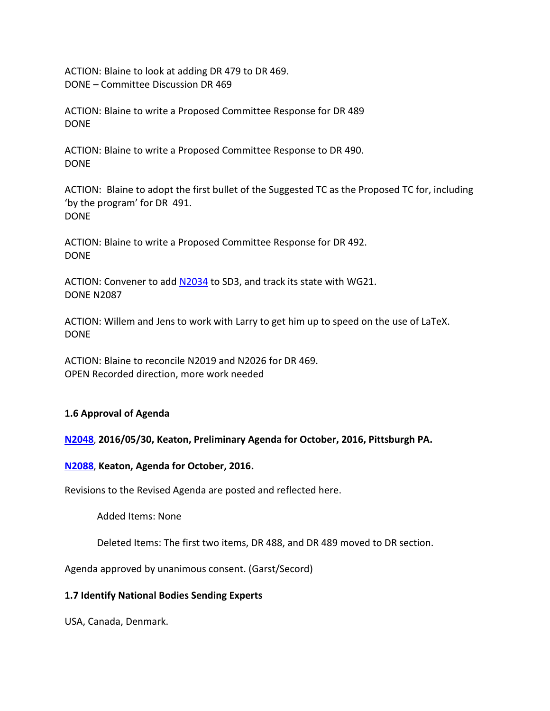ACTION: Blaine to look at adding DR 479 to DR 469. DONE – Committee Discussion DR 469

ACTION: Blaine to write a Proposed Committee Response for DR 489 DONE

ACTION: Blaine to write a Proposed Committee Response to DR 490. DONE

ACTION: Blaine to adopt the first bullet of the Suggested TC as the Proposed TC for, including 'by the program' for DR 491. DONE

ACTION: Blaine to write a Proposed Committee Response for DR 492. DONE

ACTION: Convener to add [N2034](http://www.open-std.org/jtc1/sc22/wg14/www/docs/n2034.htm) to SD3, and track its state with WG21. DONE N2087

ACTION: Willem and Jens to work with Larry to get him up to speed on the use of LaTeX. DONE

ACTION: Blaine to reconcile N2019 and N2026 for DR 469. OPEN Recorded direction, more work needed

### **1.6 Approval of Agenda**

**[N2048](file:///C:/PERENNIAL/Standards%20Groups/PL22.11/Meetings/2016_10_Pittsburgh/docs/n2048.htm)**, **2016/05/30, Keaton, Preliminary Agenda for October, 2016, Pittsburgh PA.**

### **[N2088](http://www.open-std.org/jtc1/sc22/wg14/www/docs/n2088.htm)**, **Keaton, Agenda for October, 2016.**

Revisions to the Revised Agenda are posted and reflected here.

Added Items: None

Deleted Items: The first two items, DR 488, and DR 489 moved to DR section.

Agenda approved by unanimous consent. (Garst/Secord)

### **1.7 Identify National Bodies Sending Experts**

USA, Canada, Denmark.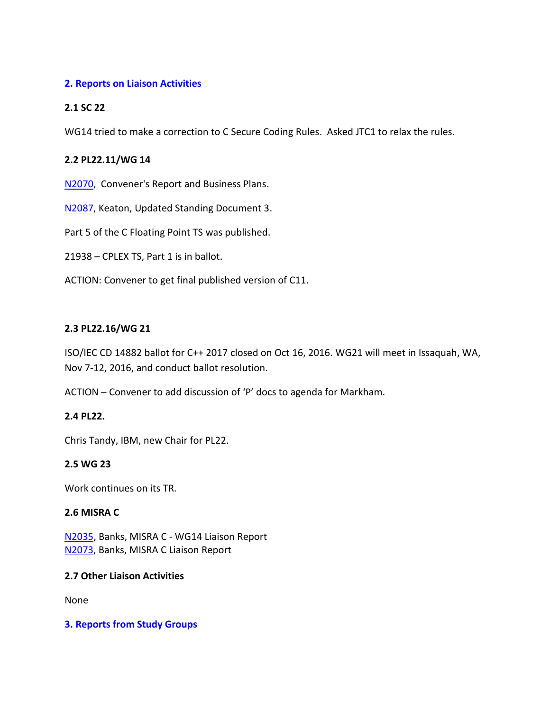### **2. Reports on Liaison Activities**

### **2.1 SC 22**

WG14 tried to make a correction to C Secure Coding Rules. Asked JTC1 to relax the rules.

### **2.2 PL22.11/WG 14**

[N2070](http://www.open-std.org/jtc1/sc22/wg14/www/docs/n2070.pdf), Convener's Report and Business Plans.

[N2087](http://www.open-std.org/jtc1/sc22/wg14/www/docs/n2087.htm), Keaton, Updated Standing Document 3.

Part 5 of the C Floating Point TS was published.

21938 – CPLEX TS, Part 1 is in ballot.

ACTION: Convener to get final published version of C11.

### **2.3 PL22.16/WG 21**

ISO/IEC CD 14882 ballot for C++ 2017 closed on Oct 16, 2016. WG21 will meet in Issaquah, WA, Nov 7-12, 2016, and conduct ballot resolution.

ACTION – Convener to add discussion of 'P' docs to agenda for Markham.

### **2.4 PL22.**

Chris Tandy, IBM, new Chair for PL22.

### **2.5 WG 23**

Work continues on its TR.

### **2.6 MISRA C**

[N2035,](http://www.open-std.org/jtc1/sc22/wg14/www/docs/n2035.pdf) Banks, MISRA C - WG14 Liaison Report [N2073](http://www.open-std.org/jtc1/sc22/wg14/www/docs/n2073.pdf), Banks, MISRA C Liaison Report

### **2.7 Other Liaison Activities**

None

### **3. Reports from Study Groups**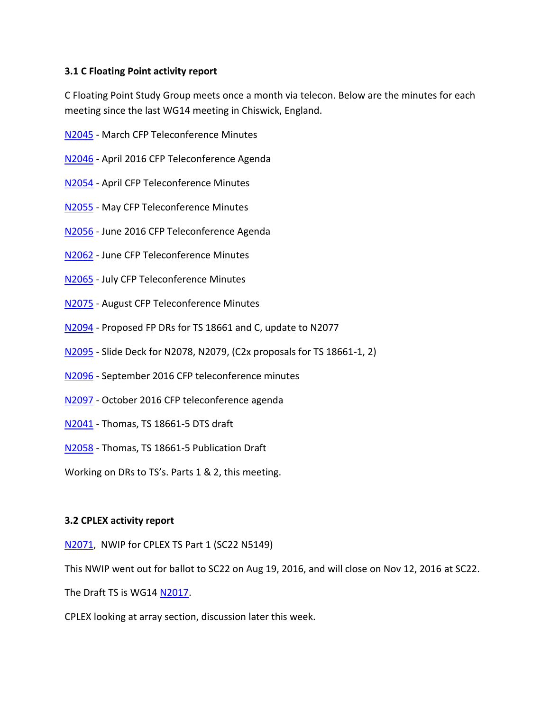### **3.1 C Floating Point activity report**

C Floating Point Study Group meets once a month via telecon. Below are the minutes for each meeting since the last WG14 meeting in Chiswick, England.

- [N2045](http://www.open-std.org/jtc1/sc22/wg14/www/docs/n2045.pdf) March CFP Teleconference Minutes
- [N2046](http://www.open-std.org/jtc1/sc22/wg14/www/docs/n2046.pdf) April 2016 CFP Teleconference Agenda
- [N2054](http://www.open-std.org/jtc1/sc22/wg14/www/docs/n2054.pdf) April CFP Teleconference Minutes
- [N2055](http://www.open-std.org/jtc1/sc22/wg14/www/docs/n2055.pdf) May CFP Teleconference Minutes
- [N2056](http://www.open-std.org/jtc1/sc22/wg14/www/docs/n2056.pdf) June 2016 CFP Teleconference Agenda
- [N2062](http://www.open-std.org/jtc1/sc22/wg14/www/docs/n2062.pdf) June CFP Teleconference Minutes
- [N2065](http://www.open-std.org/jtc1/sc22/wg14/www/docs/n2065.pdf) July CFP Teleconference Minutes
- [N2075](http://www.open-std.org/jtc1/sc22/wg14/www/docs/n2075.pdf) August CFP Teleconference Minutes
- [N2094](http://isotc.iso.org/livelink/livelink?func=ll&objId=17887970&objAction=Open&viewType=1) Proposed FP DRs for TS 18661 and C, update to N2077
- [N2095](http://isotc.iso.org/livelink/livelink?func=ll&objId=17888170&objAction=Open&viewType=1) Slide Deck for N2078, N2079, (C2x proposals for TS 18661-1, 2)
- [N2096](http://isotc.iso.org/livelink/livelink?func=ll&objId=17893174&objAction=Open&viewType=1) September 2016 CFP teleconference minutes
- [N2097](http://isotc.iso.org/livelink/livelink?func=ll&objId=17892886&objAction=Open&viewType=1) October 2016 CFP teleconference agenda
- [N2041](http://www.open-std.org/jtc1/sc22/wg14/www/docs/n2041.pdf) Thomas, TS 18661-5 DTS draft
- [N2058](http://www.open-std.org/jtc1/sc22/wg14/www/docs/n2058.pdf) Thomas, TS 18661-5 Publication Draft

Working on DRs to TS's. Parts 1 & 2, this meeting.

### **3.2 CPLEX activity report**

[N2071](http://www.open-std.org/jtc1/sc22/wg14/www/docs/n2071.pdf), NWIP for CPLEX TS Part 1 (SC22 N5149)

This NWIP went out for ballot to SC22 on Aug 19, 2016, and will close on Nov 12, 2016 at SC22.

The Draft TS is WG14 [N2017.](http://www.open-std.org/jtc1/sc22/wg14/www/docs/n2017.pdf)

CPLEX looking at array section, discussion later this week.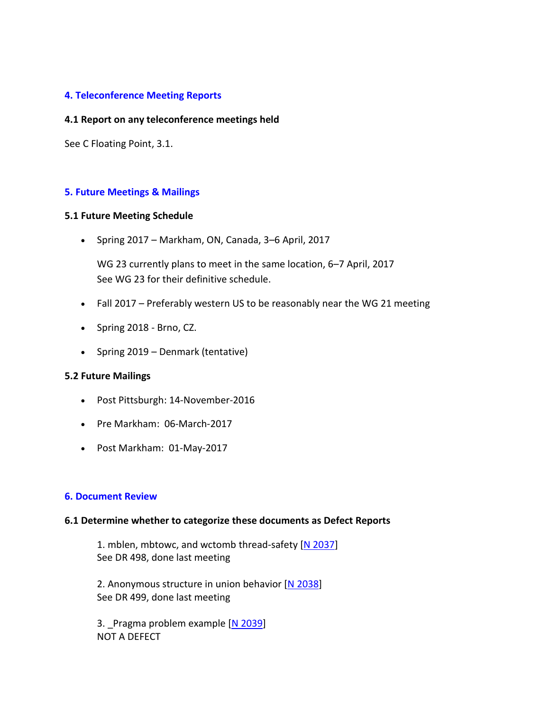### **4. Teleconference Meeting Reports**

#### **4.1 Report on any teleconference meetings held**

See C Floating Point, 3.1.

#### **5. Future Meetings & Mailings**

#### **5.1 Future Meeting Schedule**

Spring 2017 – Markham, ON, Canada, 3–6 April, 2017

WG 23 currently plans to meet in the same location, 6–7 April, 2017 See WG 23 for their definitive schedule.

- Fall 2017 Preferably western US to be reasonably near the WG 21 meeting
- Spring 2018 Brno, CZ.
- Spring 2019 Denmark (tentative)

#### **5.2 Future Mailings**

- Post Pittsburgh: 14-November-2016
- Pre Markham: 06-March-2017
- Post Markham: 01-May-2017

#### **6. Document Review**

#### **6.1 Determine whether to categorize these documents as Defect Reports**

1. mblen, mbtowc, and wctomb thread-safety [\[N 2037\]](http://www.open-std.org/jtc1/sc22/wg14/www/docs/n2037.htm) See DR 498, done last meeting

2. Anonymous structure in union behavior [\[N 2038\]](http://www.open-std.org/jtc1/sc22/wg14/www/docs/n2038.htm) See DR 499, done last meeting

3. Pragma problem example [\[N 2039\]](http://www.open-std.org/jtc1/sc22/wg14/www/docs/n2039.htm) NOT A DEFECT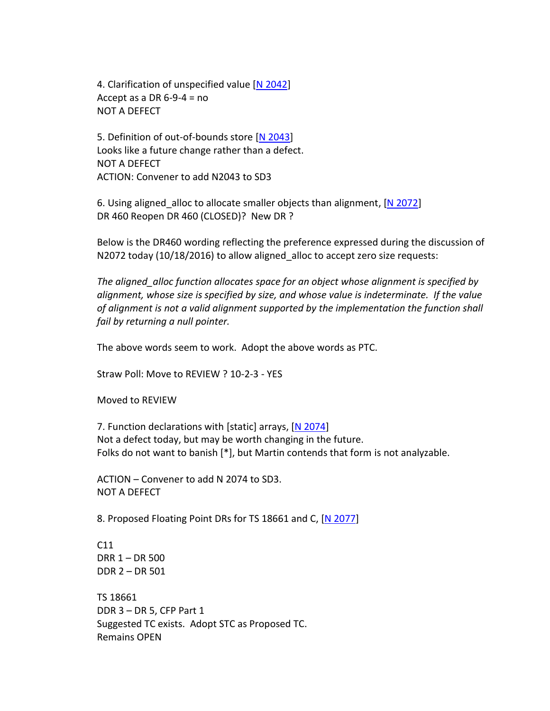4. Clarification of unspecified value [\[N 2042\]](http://www.open-std.org/jtc1/sc22/wg14/www/docs/n2042.pdf) Accept as a DR  $6-9-4 = no$ NOT A DEFECT

5. Definition of out-of-bounds store [\[N 2043\]](http://www.open-std.org/jtc1/sc22/wg14/www/docs/n2043.pdf) Looks like a future change rather than a defect. NOT A DEFECT ACTION: Convener to add N2043 to SD3

6. Using aligned alloc to allocate smaller objects than alignment, [\[N 2072\]](http://www.open-std.org/jtc1/sc22/wg14/www/docs/n2072.htm) DR 460 Reopen DR 460 (CLOSED)? New DR ?

Below is the DR460 wording reflecting the preference expressed during the discussion of N2072 today (10/18/2016) to allow aligned\_alloc to accept zero size requests:

*The aligned\_alloc function allocates space for an object whose alignment is specified by alignment, whose size is specified by size, and whose value is indeterminate. If the value of alignment is not a valid alignment supported by the implementation the function shall fail by returning a null pointer.*

The above words seem to work. Adopt the above words as PTC.

Straw Poll: Move to REVIEW ? 10-2-3 - YES

Moved to REVIEW

7. Function declarations with [static] arrays, [\[N 2074\]](http://www.open-std.org/jtc1/sc22/wg14/www/docs/n2074.htm) Not a defect today, but may be worth changing in the future. Folks do not want to banish [\*], but Martin contends that form is not analyzable.

ACTION – Convener to add N 2074 to SD3. NOT A DEFECT

8. Proposed Floating Point DRs for TS 18661 and C, [\[N 2077\]](http://www.open-std.org/jtc1/sc22/wg14/www/docs/n2077.pdf)

C11 DRR 1 – DR 500 DDR 2 – DR 501

TS 18661 DDR 3 – DR 5, CFP Part 1 Suggested TC exists. Adopt STC as Proposed TC. Remains OPEN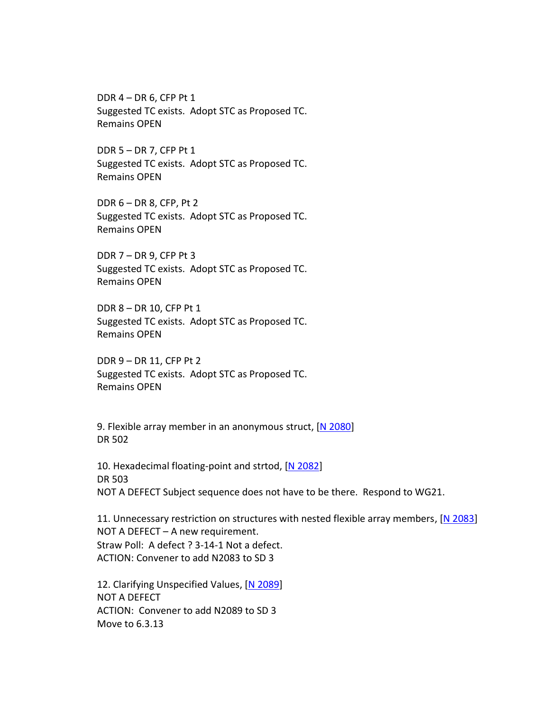DDR 4 – DR 6, CFP Pt 1 Suggested TC exists. Adopt STC as Proposed TC. Remains OPEN

DDR 5 – DR 7, CFP Pt 1 Suggested TC exists. Adopt STC as Proposed TC. Remains OPEN

DDR 6 – DR 8, CFP, Pt 2 Suggested TC exists. Adopt STC as Proposed TC. Remains OPEN

DDR 7 – DR 9, CFP Pt 3 Suggested TC exists. Adopt STC as Proposed TC. Remains OPEN

DDR 8 – DR 10, CFP Pt 1 Suggested TC exists. Adopt STC as Proposed TC. Remains OPEN

DDR 9 – DR 11, CFP Pt 2 Suggested TC exists. Adopt STC as Proposed TC. Remains OPEN

9. Flexible array member in an anonymous struct, [\[N 2080\]](http://www.open-std.org/jtc1/sc22/wg14/www/docs/n2080.htm) DR 502

10. Hexadecimal floating-point and strtod, [\[N 2082\]](http://www.open-std.org/jtc1/sc22/wg14/www/docs/n2082.htm) DR 503 NOT A DEFECT Subject sequence does not have to be there. Respond to WG21.

11. Unnecessary restriction on structures with nested flexible array members, [\[N 2083\]](http://www.open-std.org/jtc1/sc22/wg14/www/docs/n2083.htm) NOT A DEFECT – A new requirement. Straw Poll: A defect ? 3-14-1 Not a defect. ACTION: Convener to add N2083 to SD 3

12. Clarifying Unspecified Values, [\[N 2089\]](http://www.open-std.org/jtc1/sc22/wg14/www/docs/n2089.htm) NOT A DEFECT ACTION: Convener to add N2089 to SD 3 Move to 6.3.13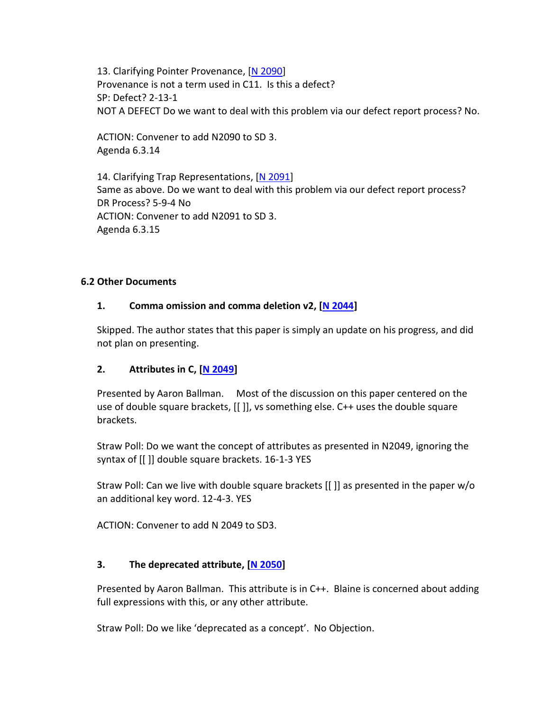13. Clarifying Pointer Provenance, [\[N 2090\]](http://www.open-std.org/jtc1/sc22/wg14/www/docs/n2090.htm) Provenance is not a term used in C11. Is this a defect? SP: Defect? 2-13-1 NOT A DEFECT Do we want to deal with this problem via our defect report process? No.

ACTION: Convener to add N2090 to SD 3. Agenda 6.3.14

14. Clarifying Trap Representations, [\[N 2091\]](http://www.open-std.org/jtc1/sc22/wg14/www/docs/n2091.htm) Same as above. Do we want to deal with this problem via our defect report process? DR Process? 5-9-4 No ACTION: Convener to add N2091 to SD 3. Agenda 6.3.15

### **6.2 Other Documents**

### **1. Comma omission and comma deletion v2, [\[N 2044\]](http://www.open-std.org/jtc1/sc22/wg14/www/docs/n2044.htm)**

Skipped. The author states that this paper is simply an update on his progress, and did not plan on presenting.

### **2. Attributes in C, [\[N 2049\]](http://www.open-std.org/jtc1/sc22/wg14/www/docs/n2049.pdf)**

Presented by Aaron Ballman. Most of the discussion on this paper centered on the use of double square brackets, [[ ]], vs something else. C++ uses the double square brackets.

Straw Poll: Do we want the concept of attributes as presented in N2049, ignoring the syntax of [[ ]] double square brackets. 16-1-3 YES

Straw Poll: Can we live with double square brackets [[ ]] as presented in the paper w/o an additional key word. 12-4-3. YES

ACTION: Convener to add N 2049 to SD3.

### **3. The deprecated attribute, [\[N 2050\]](http://www.open-std.org/jtc1/sc22/wg14/www/docs/n2050.pdf)**

Presented by Aaron Ballman. This attribute is in C++. Blaine is concerned about adding full expressions with this, or any other attribute.

Straw Poll: Do we like 'deprecated as a concept'. No Objection.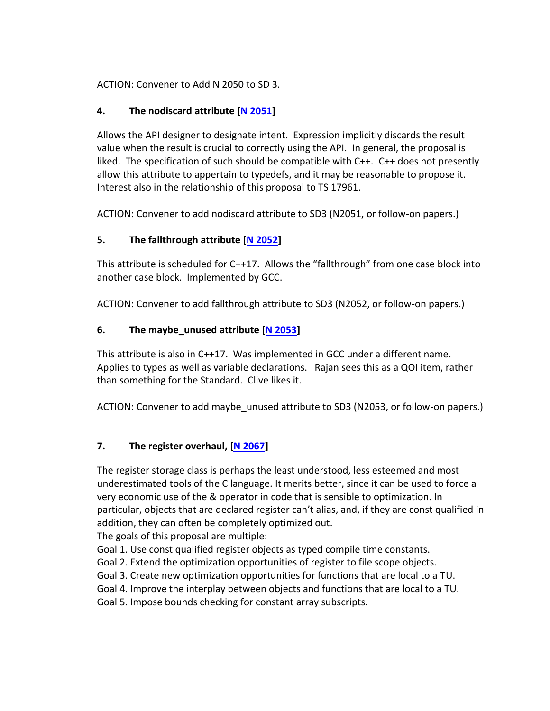ACTION: Convener to Add N 2050 to SD 3.

## **4. The nodiscard attribute [\[N 2051\]](http://www.open-std.org/jtc1/sc22/wg14/www/docs/n2051.pdf)**

Allows the API designer to designate intent. Expression implicitly discards the result value when the result is crucial to correctly using the API. In general, the proposal is liked. The specification of such should be compatible with C++. C++ does not presently allow this attribute to appertain to typedefs, and it may be reasonable to propose it. Interest also in the relationship of this proposal to TS 17961.

ACTION: Convener to add nodiscard attribute to SD3 (N2051, or follow-on papers.)

## **5. The fallthrough attribute [\[N 2052\]](http://www.open-std.org/jtc1/sc22/wg14/www/docs/n2052.pdf)**

This attribute is scheduled for C++17. Allows the "fallthrough" from one case block into another case block. Implemented by GCC.

ACTION: Convener to add fallthrough attribute to SD3 (N2052, or follow-on papers.)

## **6. The maybe\_unused attribute [\[N 2053\]](http://www.open-std.org/jtc1/sc22/wg14/www/docs/n2053.pdf)**

This attribute is also in C++17. Was implemented in GCC under a different name. Applies to types as well as variable declarations. Rajan sees this as a QOI item, rather than something for the Standard. Clive likes it.

ACTION: Convener to add maybe unused attribute to SD3 (N2053, or follow-on papers.)

### **7. The register overhaul, [\[N 2067\]](http://www.open-std.org/jtc1/sc22/wg14/www/docs/n2067.pdf)**

The register storage class is perhaps the least understood, less esteemed and most underestimated tools of the C language. It merits better, since it can be used to force a very economic use of the & operator in code that is sensible to optimization. In particular, objects that are declared register can't alias, and, if they are const qualified in addition, they can often be completely optimized out.

The goals of this proposal are multiple:

Goal 1. Use const qualified register objects as typed compile time constants.

Goal 2. Extend the optimization opportunities of register to file scope objects.

Goal 3. Create new optimization opportunities for functions that are local to a TU.

Goal 4. Improve the interplay between objects and functions that are local to a TU.

Goal 5. Impose bounds checking for constant array subscripts.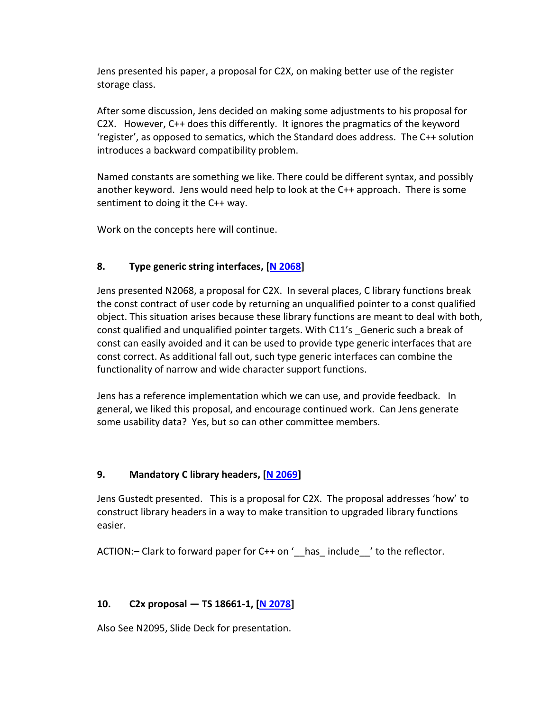Jens presented his paper, a proposal for C2X, on making better use of the register storage class.

After some discussion, Jens decided on making some adjustments to his proposal for C2X. However, C++ does this differently. It ignores the pragmatics of the keyword 'register', as opposed to sematics, which the Standard does address. The C++ solution introduces a backward compatibility problem.

Named constants are something we like. There could be different syntax, and possibly another keyword. Jens would need help to look at the C++ approach. There is some sentiment to doing it the C++ way.

Work on the concepts here will continue.

## **8. Type generic string interfaces, [\[N 2068\]](http://www.open-std.org/jtc1/sc22/wg14/www/docs/n2068.pdf)**

Jens presented N2068, a proposal for C2X. In several places, C library functions break the const contract of user code by returning an unqualified pointer to a const qualified object. This situation arises because these library functions are meant to deal with both, const qualified and unqualified pointer targets. With C11's \_Generic such a break of const can easily avoided and it can be used to provide type generic interfaces that are const correct. As additional fall out, such type generic interfaces can combine the functionality of narrow and wide character support functions.

Jens has a reference implementation which we can use, and provide feedback. In general, we liked this proposal, and encourage continued work. Can Jens generate some usability data? Yes, but so can other committee members.

### **9. Mandatory C library headers, [\[N 2069\]](http://www.open-std.org/jtc1/sc22/wg14/www/docs/n2069.pdf)**

Jens Gustedt presented. This is a proposal for C2X. The proposal addresses 'how' to construct library headers in a way to make transition to upgraded library functions easier.

ACTION:- Clark to forward paper for  $C++$  on '\_\_has\_ include\_\_\_' to the reflector.

## **10. C2x proposal — TS 18661-1, [\[N 2078\]](http://www.open-std.org/jtc1/sc22/wg14/www/docs/n2078.pdf)**

Also See N2095, Slide Deck for presentation.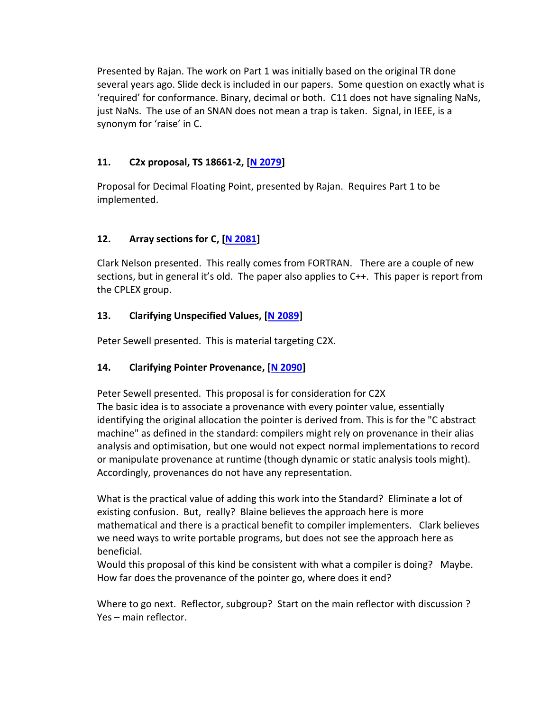Presented by Rajan. The work on Part 1 was initially based on the original TR done several years ago. Slide deck is included in our papers. Some question on exactly what is 'required' for conformance. Binary, decimal or both. C11 does not have signaling NaNs, just NaNs. The use of an SNAN does not mean a trap is taken. Signal, in IEEE, is a synonym for 'raise' in C.

## **11. C2x proposal, TS 18661-2, [\[N 2079\]](http://www.open-std.org/jtc1/sc22/wg14/www/docs/n2079.pdf)**

Proposal for Decimal Floating Point, presented by Rajan. Requires Part 1 to be implemented.

## **12. Array sections for C, [\[N 2081\]](http://www.open-std.org/jtc1/sc22/wg14/www/docs/n2081.htm)**

Clark Nelson presented. This really comes from FORTRAN. There are a couple of new sections, but in general it's old. The paper also applies to C++. This paper is report from the CPLEX group.

### **13. Clarifying Unspecified Values, [\[N 2089\]](http://www.open-std.org/jtc1/sc22/wg14/www/docs/n2089.htm)**

Peter Sewell presented. This is material targeting C2X.

## **14. Clarifying Pointer Provenance, [\[N 2090\]](http://www.open-std.org/jtc1/sc22/wg14/www/docs/n2090.htm)**

Peter Sewell presented. This proposal is for consideration for C2X The basic idea is to associate a provenance with every pointer value, essentially identifying the original allocation the pointer is derived from. This is for the "C abstract machine" as defined in the standard: compilers might rely on provenance in their alias analysis and optimisation, but one would not expect normal implementations to record or manipulate provenance at runtime (though dynamic or static analysis tools might). Accordingly, provenances do not have any representation.

What is the practical value of adding this work into the Standard? Eliminate a lot of existing confusion. But, really? Blaine believes the approach here is more mathematical and there is a practical benefit to compiler implementers. Clark believes we need ways to write portable programs, but does not see the approach here as beneficial.

Would this proposal of this kind be consistent with what a compiler is doing? Maybe. How far does the provenance of the pointer go, where does it end?

Where to go next. Reflector, subgroup? Start on the main reflector with discussion ? Yes – main reflector.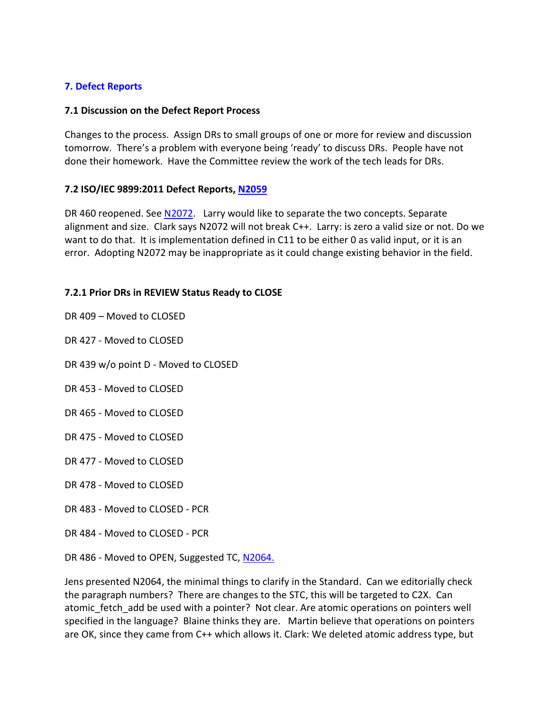### **7. Defect Reports**

#### **7.1 Discussion on the Defect Report Process**

Changes to the process. Assign DRs to small groups of one or more for review and discussion tomorrow. There's a problem with everyone being 'ready' to discuss DRs. People have not done their homework. Have the Committee review the work of the tech leads for DRs.

### **7.2 ISO/IEC 9899:2011 Defect Reports, [N2059](http://www.open-std.org/jtc1/sc22/wg14/www/docs/n2059.htm)**

DR 460 reopened. See [N2072.](http://www.open-std.org/jtc1/sc22/wg14/www/docs/n2072.htm) Larry would like to separate the two concepts. Separate alignment and size. Clark says N2072 will not break C++. Larry: is zero a valid size or not. Do we want to do that. It is implementation defined in C11 to be either 0 as valid input, or it is an error. Adopting N2072 may be inappropriate as it could change existing behavior in the field.

### **7.2.1 Prior DRs in REVIEW Status Ready to CLOSE**

- DR 409 Moved to CLOSED
- DR 427 Moved to CLOSED
- DR 439 w/o point D Moved to CLOSED
- DR 453 Moved to CLOSED
- DR 465 Moved to CLOSED
- DR 475 Moved to CLOSED
- DR 477 Moved to CLOSED
- DR 478 Moved to CLOSED
- DR 483 Moved to CLOSED PCR
- DR 484 Moved to CLOSED PCR
- DR 486 Moved to OPEN, Suggested TC, [N2064.](http://www.open-std.org/jtc1/sc22/wg14/www/docs/n2064.htm)

Jens presented N2064, the minimal things to clarify in the Standard. Can we editorially check the paragraph numbers? There are changes to the STC, this will be targeted to C2X. Can atomic fetch add be used with a pointer? Not clear. Are atomic operations on pointers well specified in the language? Blaine thinks they are. Martin believe that operations on pointers are OK, since they came from C++ which allows it. Clark: We deleted atomic address type, but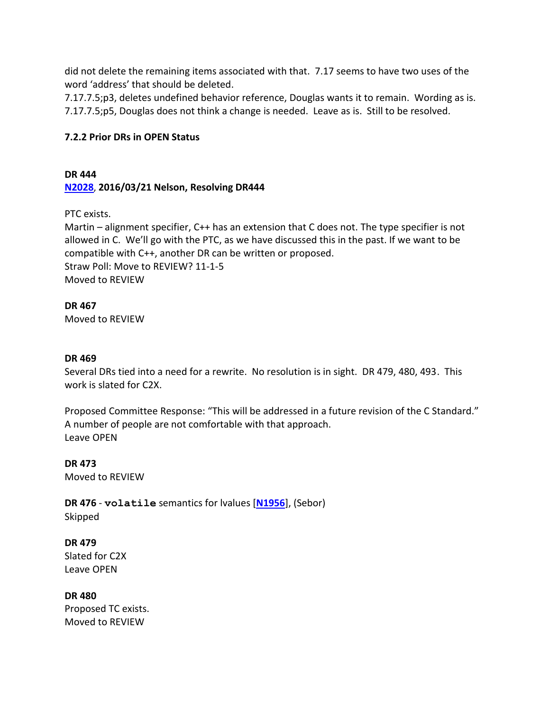did not delete the remaining items associated with that. 7.17 seems to have two uses of the word 'address' that should be deleted.

7.17.7.5;p3, deletes undefined behavior reference, Douglas wants it to remain. Wording as is. 7.17.7.5;p5, Douglas does not think a change is needed. Leave as is. Still to be resolved.

### **7.2.2 Prior DRs in OPEN Status**

## **DR 444 [N2028](file:///C:/PERENNIAL/Standards%20Groups/PL22.11/Meetings/2016_10_Pittsburgh/docs/n2028.htm)**, **2016/03/21 Nelson, Resolving DR444**

PTC exists.

Martin – alignment specifier, C++ has an extension that C does not. The type specifier is not allowed in C. We'll go with the PTC, as we have discussed this in the past. If we want to be compatible with C++, another DR can be written or proposed. Straw Poll: Move to REVIEW? 11-1-5 Moved to REVIEW

**DR 467**  Moved to REVIEW

### **DR 469**

Several DRs tied into a need for a rewrite. No resolution is in sight. DR 479, 480, 493. This work is slated for C2X.

Proposed Committee Response: "This will be addressed in a future revision of the C Standard." A number of people are not comfortable with that approach. Leave OPEN

**DR 473**  Moved to REVIEW

**DR 476** - **volatile** semantics for lvalues [**[N1956](http://www.open-std.org/jtc1/sc22/wg14/www/docs/n1956.htm)**], (Sebor) Skipped

**DR 479** Slated for C2X Leave OPEN

**DR 480** Proposed TC exists. Moved to REVIEW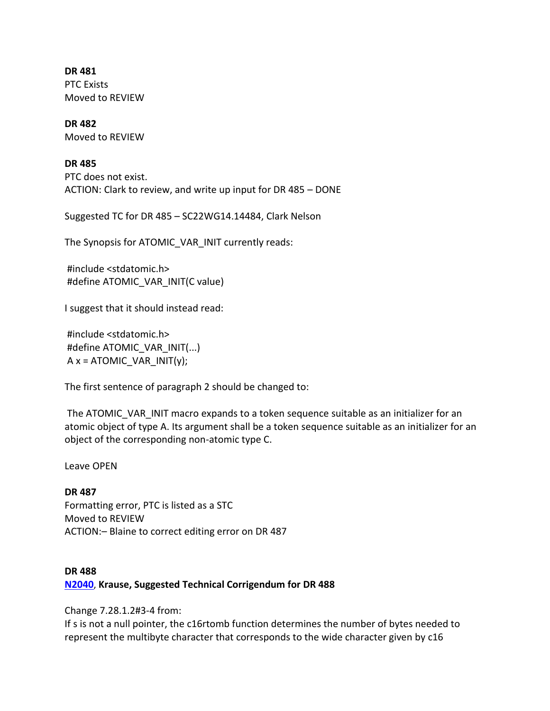**DR 481** PTC Exists Moved to REVIEW

**DR 482** Moved to REVIEW

**DR 485**

PTC does not exist. ACTION: Clark to review, and write up input for DR 485 – DONE

Suggested TC for DR 485 – SC22WG14.14484, Clark Nelson

The Synopsis for ATOMIC\_VAR\_INIT currently reads:

#include <stdatomic.h> #define ATOMIC\_VAR\_INIT(C value)

I suggest that it should instead read:

#include <stdatomic.h> #define ATOMIC\_VAR\_INIT(...)  $A x = ATOMIC$  VAR INIT(y);

The first sentence of paragraph 2 should be changed to:

The ATOMIC VAR INIT macro expands to a token sequence suitable as an initializer for an atomic object of type A. Its argument shall be a token sequence suitable as an initializer for an object of the corresponding non-atomic type C.

Leave OPEN

**DR 487** Formatting error, PTC is listed as a STC Moved to REVIEW ACTION:– Blaine to correct editing error on DR 487

## **DR 488 [N2040](http://www.open-std.org/jtc1/sc22/wg14/www/docs/n2040.htm)**, **Krause, Suggested Technical Corrigendum for DR 488**

Change 7.28.1.2#3-4 from:

If s is not a null pointer, the c16rtomb function determines the number of bytes needed to represent the multibyte character that corresponds to the wide character given by c16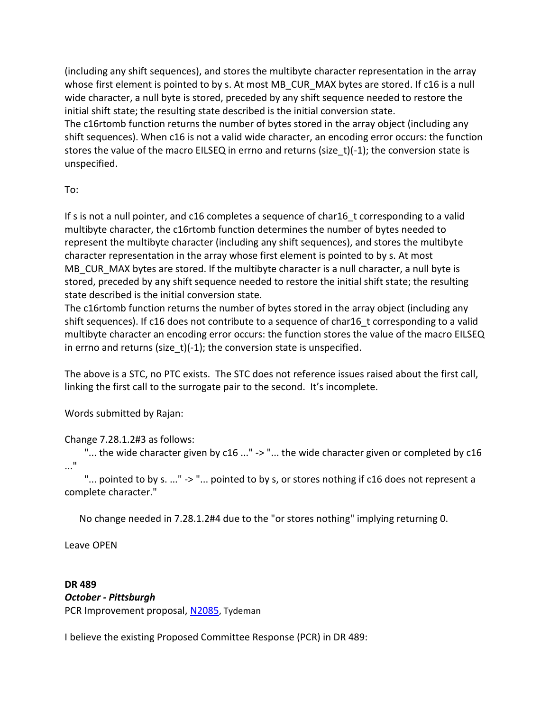(including any shift sequences), and stores the multibyte character representation in the array whose first element is pointed to by s. At most MB\_CUR\_MAX bytes are stored. If c16 is a null wide character, a null byte is stored, preceded by any shift sequence needed to restore the initial shift state; the resulting state described is the initial conversion state. The c16rtomb function returns the number of bytes stored in the array object (including any shift sequences). When c16 is not a valid wide character, an encoding error occurs: the function stores the value of the macro EILSEQ in errno and returns (size t)(-1); the conversion state is unspecified.

To:

If s is not a null pointer, and c16 completes a sequence of char16\_t corresponding to a valid multibyte character, the c16rtomb function determines the number of bytes needed to represent the multibyte character (including any shift sequences), and stores the multibyte character representation in the array whose first element is pointed to by s. At most MB CUR MAX bytes are stored. If the multibyte character is a null character, a null byte is stored, preceded by any shift sequence needed to restore the initial shift state; the resulting state described is the initial conversion state.

The c16rtomb function returns the number of bytes stored in the array object (including any shift sequences). If c16 does not contribute to a sequence of char16 t corresponding to a valid multibyte character an encoding error occurs: the function stores the value of the macro EILSEQ in errno and returns (size  $t$ )(-1); the conversion state is unspecified.

The above is a STC, no PTC exists. The STC does not reference issues raised about the first call, linking the first call to the surrogate pair to the second. It's incomplete.

Words submitted by Rajan:

Change 7.28.1.2#3 as follows:

"... the wide character given by c16 ..." -> "... the wide character given or completed by c16 ..."

"... pointed to by s. ..." -> "... pointed to by s, or stores nothing if c16 does not represent a complete character."

No change needed in 7.28.1.2#4 due to the "or stores nothing" implying returning 0.

Leave OPEN

**DR 489** *October - Pittsburgh* PCR Improvement proposal, [N2085](http://www.open-std.org/jtc1/sc22/wg14/www/docs/n2085.htm), Tydeman

I believe the existing Proposed Committee Response (PCR) in DR 489: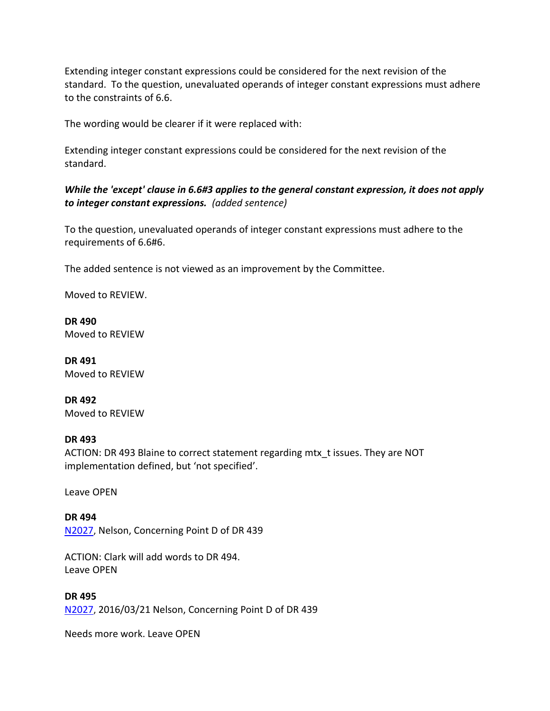Extending integer constant expressions could be considered for the next revision of the standard. To the question, unevaluated operands of integer constant expressions must adhere to the constraints of 6.6.

The wording would be clearer if it were replaced with:

Extending integer constant expressions could be considered for the next revision of the standard.

## *While the 'except' clause in 6.6#3 applies to the general constant expression, it does not apply to integer constant expressions. (added sentence)*

To the question, unevaluated operands of integer constant expressions must adhere to the requirements of 6.6#6.

The added sentence is not viewed as an improvement by the Committee.

Moved to REVIEW.

**DR 490** Moved to REVIEW

**DR 491** Moved to REVIEW

**DR 492** Moved to REVIEW

#### **DR 493**

ACTION: DR 493 Blaine to correct statement regarding mtx\_t issues. They are NOT implementation defined, but 'not specified'.

Leave OPEN

**DR 494** [N2027](file:///C:/PERENNIAL/Standards%20Groups/PL22.11/Meetings/2016_10_Pittsburgh/docs/n2027.htm), Nelson, Concerning Point D of DR 439

ACTION: Clark will add words to DR 494. Leave OPEN

#### **DR 495**

[N2027](file:///C:/PERENNIAL/Standards%20Groups/PL22.11/Meetings/2016_10_Pittsburgh/docs/n2027.htm), 2016/03/21 Nelson, Concerning Point D of DR 439

Needs more work. Leave OPEN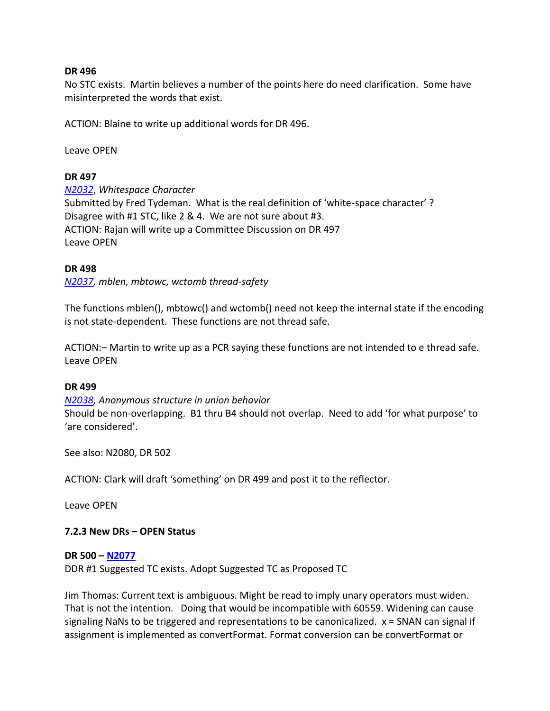#### **DR 496**

No STC exists. Martin believes a number of the points here do need clarification. Some have misinterpreted the words that exist.

ACTION: Blaine to write up additional words for DR 496.

Leave OPEN

### **DR 497**

*[N2032](http://www.open-std.org/jtc1/sc22/wg14/www/docs/n2032.htm)*, *Whitespace Character* Submitted by Fred Tydeman. What is the real definition of 'white-space character' ? Disagree with #1 STC, like 2 & 4. We are not sure about #3. ACTION: Rajan will write up a Committee Discussion on DR 497 Leave OPEN

#### **DR 498**

*[N2037,](http://www.open-std.org/jtc1/sc22/wg14/www/docs/n2037.htm) mblen, mbtowc, wctomb thread-safety*

The functions mblen(), mbtowc() and wctomb() need not keep the internal state if the encoding is not state-dependent. These functions are not thread safe.

ACTION:– Martin to write up as a PCR saying these functions are not intended to e thread safe. Leave OPEN

#### **DR 499**

*[N2038,](http://www.open-std.org/jtc1/sc22/wg14/www/docs/n2038.htm) Anonymous structure in union behavior* Should be non-overlapping. B1 thru B4 should not overlap. Need to add 'for what purpose' to 'are considered'.

See also: N2080, DR 502

ACTION: Clark will draft 'something' on DR 499 and post it to the reflector.

Leave OPEN

### **7.2.3 New DRs – OPEN Status**

#### **DR 500 – [N2077](http://www.open-std.org/JTC1/SC22/WG14/www/docs/n2077.pdf)**

DDR #1 Suggested TC exists. Adopt Suggested TC as Proposed TC

Jim Thomas: Current text is ambiguous. Might be read to imply unary operators must widen. That is not the intention. Doing that would be incompatible with 60559. Widening can cause signaling NaNs to be triggered and representations to be canonicalized. x = SNAN can signal if assignment is implemented as convertFormat. Format conversion can be convertFormat or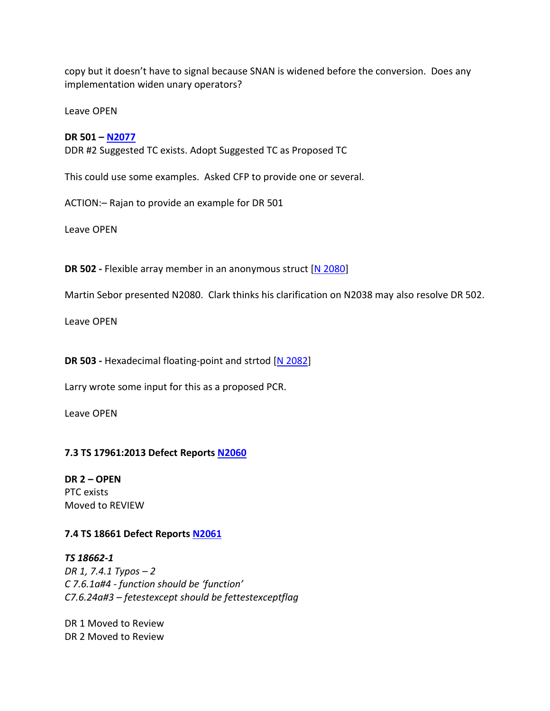copy but it doesn't have to signal because SNAN is widened before the conversion. Does any implementation widen unary operators?

Leave OPEN

#### **DR 501 – [N2077](http://www.open-std.org/JTC1/SC22/WG14/www/docs/n2077.pdf)**

DDR #2 Suggested TC exists. Adopt Suggested TC as Proposed TC

This could use some examples. Asked CFP to provide one or several.

ACTION:– Rajan to provide an example for DR 501

Leave OPEN

**DR 502 -** Flexible array member in an anonymous struct [\[N 2080\]](http://www.open-std.org/jtc1/sc22/wg14/www/docs/n2080.htm)

Martin Sebor presented N2080. Clark thinks his clarification on N2038 may also resolve DR 502.

Leave OPEN

**DR 503 -** Hexadecimal floating-point and strtod [\[N 2082\]](http://www.open-std.org/jtc1/sc22/wg14/www/docs/n2082.htm)

Larry wrote some input for this as a proposed PCR.

Leave OPEN

### **7.3 TS 17961:2013 Defect Reports [N2060](http://www.open-std.org/jtc1/sc22/wg14/www/docs/n2060.htm)**

**DR 2 – OPEN**  PTC exists Moved to REVIEW

### **7.4 TS 18661 Defect Reports [N2061](http://www.open-std.org/jtc1/sc22/wg14/www/docs/n2061.htm)**

*TS 18662-1 DR 1, 7.4.1 Typos – 2 C 7.6.1a#4 - function should be 'function' C7.6.24a#3 – fetestexcept should be fettestexceptflag*

DR 1 Moved to Review DR 2 Moved to Review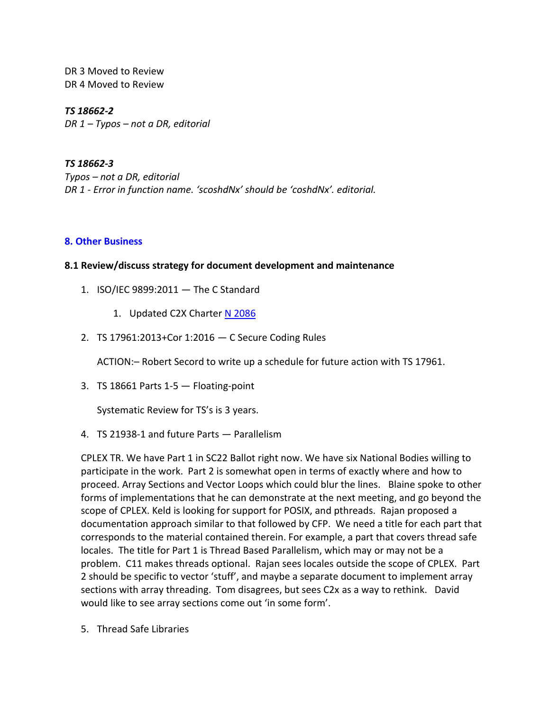DR 3 Moved to Review DR 4 Moved to Review

*TS 18662-2 DR 1 – Typos – not a DR, editorial*

*TS 18662-3 Typos – not a DR, editorial DR 1 - Error in function name. 'scoshdNx' should be 'coshdNx'. editorial.*

### **8. Other Business**

### **8.1 Review/discuss strategy for document development and maintenance**

- 1. ISO/IEC 9899:2011 The C Standard
	- 1. Updated C2X Charter [N 2086](http://www.open-std.org/jtc1/sc22/wg14/www/docs/n2086.htm)
- 2. TS 17961:2013+Cor 1:2016 C Secure Coding Rules

ACTION:– Robert Secord to write up a schedule for future action with TS 17961.

3. TS 18661 Parts  $1-5$  - Floating-point

Systematic Review for TS's is 3 years.

4. TS 21938-1 and future Parts — Parallelism

CPLEX TR. We have Part 1 in SC22 Ballot right now. We have six National Bodies willing to participate in the work. Part 2 is somewhat open in terms of exactly where and how to proceed. Array Sections and Vector Loops which could blur the lines. Blaine spoke to other forms of implementations that he can demonstrate at the next meeting, and go beyond the scope of CPLEX. Keld is looking for support for POSIX, and pthreads. Rajan proposed a documentation approach similar to that followed by CFP. We need a title for each part that corresponds to the material contained therein. For example, a part that covers thread safe locales. The title for Part 1 is Thread Based Parallelism, which may or may not be a problem. C11 makes threads optional. Rajan sees locales outside the scope of CPLEX. Part 2 should be specific to vector 'stuff', and maybe a separate document to implement array sections with array threading. Tom disagrees, but sees C2x as a way to rethink. David would like to see array sections come out 'in some form'.

5. Thread Safe Libraries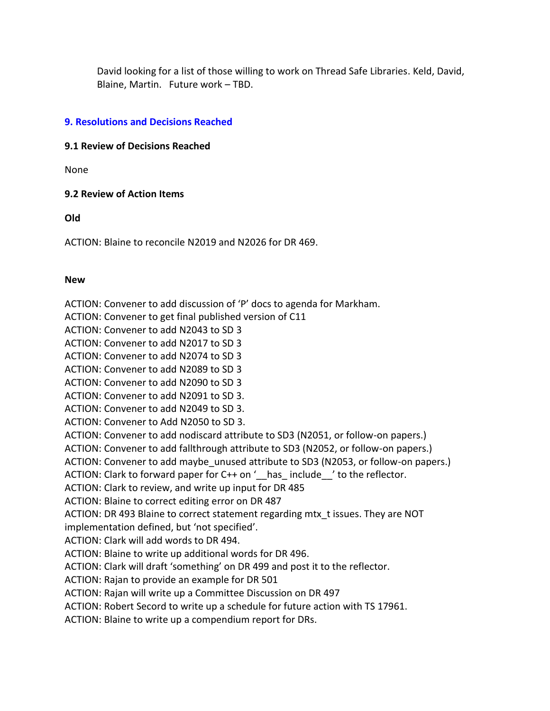David looking for a list of those willing to work on Thread Safe Libraries. Keld, David, Blaine, Martin. Future work – TBD.

### **9. Resolutions and Decisions Reached**

### **9.1 Review of Decisions Reached**

None

### **9.2 Review of Action Items**

**Old**

ACTION: Blaine to reconcile N2019 and N2026 for DR 469.

### **New**

ACTION: Convener to add discussion of 'P' docs to agenda for Markham. ACTION: Convener to get final published version of C11 ACTION: Convener to add N2043 to SD 3 ACTION: Convener to add N2017 to SD 3 ACTION: Convener to add N2074 to SD 3 ACTION: Convener to add N2089 to SD 3 ACTION: Convener to add N2090 to SD 3 ACTION: Convener to add N2091 to SD 3. ACTION: Convener to add N2049 to SD 3. ACTION: Convener to Add N2050 to SD 3. ACTION: Convener to add nodiscard attribute to SD3 (N2051, or follow-on papers.) ACTION: Convener to add fallthrough attribute to SD3 (N2052, or follow-on papers.) ACTION: Convener to add maybe unused attribute to SD3 (N2053, or follow-on papers.) ACTION: Clark to forward paper for C++ on '\_\_has\_ include\_\_' to the reflector. ACTION: Clark to review, and write up input for DR 485 ACTION: Blaine to correct editing error on DR 487 ACTION: DR 493 Blaine to correct statement regarding mtx\_t issues. They are NOT implementation defined, but 'not specified'. ACTION: Clark will add words to DR 494. ACTION: Blaine to write up additional words for DR 496. ACTION: Clark will draft 'something' on DR 499 and post it to the reflector. ACTION: Rajan to provide an example for DR 501 ACTION: Rajan will write up a Committee Discussion on DR 497 ACTION: Robert Secord to write up a schedule for future action with TS 17961.

ACTION: Blaine to write up a compendium report for DRs.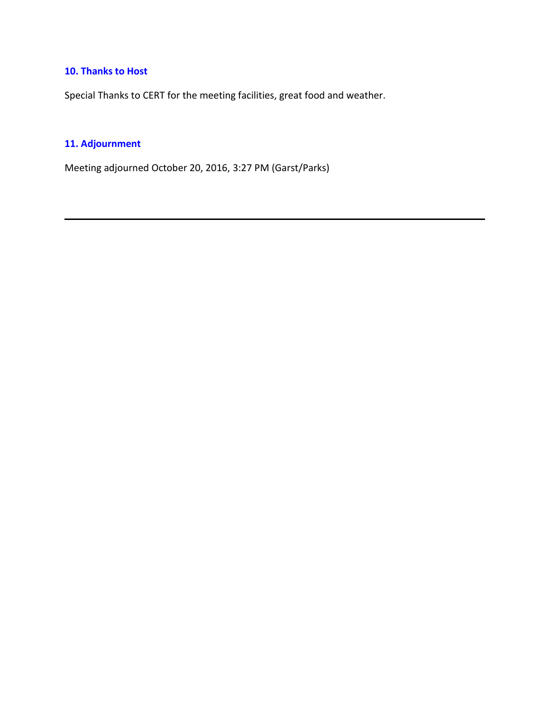## **10. Thanks to Host**

Special Thanks to CERT for the meeting facilities, great food and weather.

## **11. Adjournment**

Meeting adjourned October 20, 2016, 3:27 PM (Garst/Parks)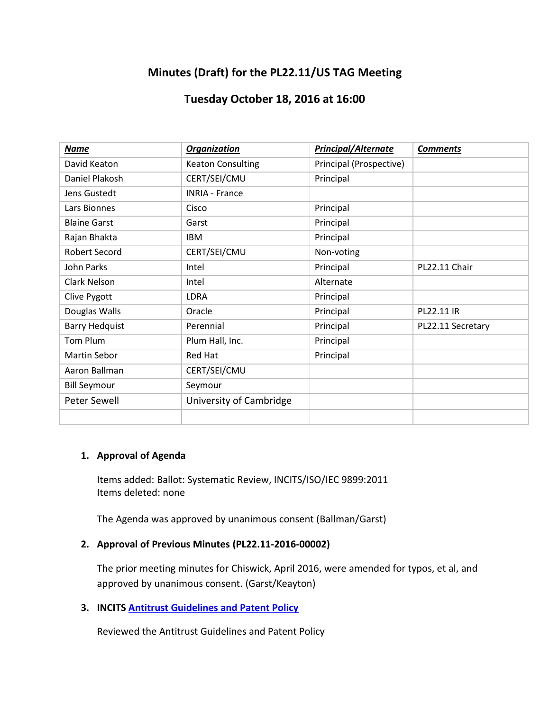# **Minutes (Draft) for the PL22.11/US TAG Meeting**

## **Tuesday October 18, 2016 at 16:00**

| <b>Name</b>           | <b>Organization</b>      | <b>Principal/Alternate</b> | <b>Comments</b>   |
|-----------------------|--------------------------|----------------------------|-------------------|
| David Keaton          | <b>Keaton Consulting</b> | Principal (Prospective)    |                   |
| Daniel Plakosh        | CERT/SEI/CMU             | Principal                  |                   |
| Jens Gustedt          | <b>INRIA - France</b>    |                            |                   |
| Lars Bionnes          | Cisco                    | Principal                  |                   |
| <b>Blaine Garst</b>   | Garst                    | Principal                  |                   |
| Rajan Bhakta          | <b>IBM</b>               | Principal                  |                   |
| <b>Robert Secord</b>  | CERT/SEI/CMU             | Non-voting                 |                   |
| John Parks            | Intel                    | Principal                  | PL22.11 Chair     |
| Clark Nelson          | Intel                    | Alternate                  |                   |
| Clive Pygott          | LDRA                     | Principal                  |                   |
| Douglas Walls         | Oracle                   | Principal                  | PL22.11 IR        |
| <b>Barry Hedquist</b> | Perennial                | Principal                  | PL22.11 Secretary |
| Tom Plum              | Plum Hall, Inc.          | Principal                  |                   |
| Martin Sebor          | <b>Red Hat</b>           | Principal                  |                   |
| Aaron Ballman         | CERT/SEI/CMU             |                            |                   |
| <b>Bill Seymour</b>   | Seymour                  |                            |                   |
| Peter Sewell          | University of Cambridge  |                            |                   |
|                       |                          |                            |                   |

### **1. Approval of Agenda**

Items added: Ballot: Systematic Review, INCITS/ISO/IEC 9899:2011 Items deleted: none

The Agenda was approved by unanimous consent (Ballman/Garst)

### **2. Approval of Previous Minutes (PL22.11-2016-00002)**

The prior meeting minutes for Chiswick, April 2016, were amended for typos, et al, and approved by unanimous consent. (Garst/Keayton)

**3. INCITS [Antitrust Guidelines and Patent Policy](http://www.incits.org/standards-information/legal-info)**

Reviewed the Antitrust Guidelines and Patent Policy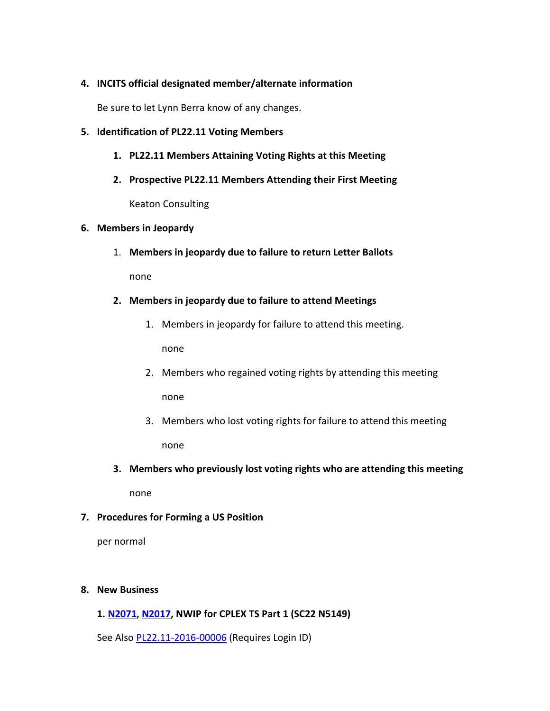### **4. INCITS official designated member/alternate information**

Be sure to let Lynn Berra know of any changes.

### **5. Identification of PL22.11 Voting Members**

- **1. PL22.11 Members Attaining Voting Rights at this Meeting**
- **2. Prospective PL22.11 Members Attending their First Meeting**

Keaton Consulting

#### **6. Members in Jeopardy**

1. **Members in jeopardy due to failure to return Letter Ballots**

none

### **2. Members in jeopardy due to failure to attend Meetings**

1. Members in jeopardy for failure to attend this meeting.

none

- 2. Members who regained voting rights by attending this meeting none
- 3. Members who lost voting rights for failure to attend this meeting none
- **3. Members who previously lost voting rights who are attending this meeting**

none

### **7. Procedures for Forming a US Position**

per normal

### **8. New Business**

### **1. [N2071](file:///C:/PERENNIAL/Standards%20Groups/PL22.11/Meetings/2016_10_Pittsburgh/docs/n2071.pdf), [N2017,](http://www.open-std.org/jtc1/sc22/wg14/www/docs/n2017.pdf) NWIP for CPLEX TS Part 1 (SC22 N5149)**

See Also [PL22.11-2016-00006](https://standards.incits.org/apps/org/workgroup/pl22.11/download.php/80696/PL22.11-2016-00006_US_TAG_Response_ANSI_NWIP_ISO_IEC_NP_TS_21938-1.docx) (Requires Login ID)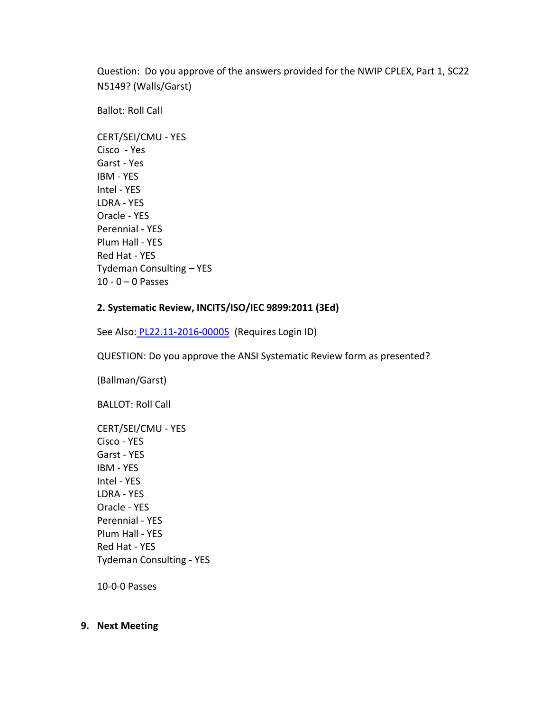Question: Do you approve of the answers provided for the NWIP CPLEX, Part 1, SC22 N5149? (Walls/Garst)

Ballot: Roll Call

CERT/SEI/CMU - YES Cisco - Yes Garst - Yes IBM - YES Intel - YES LDRA - YES Oracle - YES Perennial - YES Plum Hall - YES Red Hat - YES Tydeman Consulting – YES 10 - 0  $-$  0 Passes

### **2. Systematic Review, INCITS/ISO/IEC 9899:2011 (3Ed)**

See Also: [PL22.11-2016-00005](https://standards.incits.org/apps/org/workgroup/pl22.11/download.php/80695/PL22.11-2016-00005_US_TAG_Response_Systematic_Review_ISO_IEC_9899_2011.docx) (Requires Login ID)

QUESTION: Do you approve the ANSI Systematic Review form as presented?

(Ballman/Garst)

BALLOT: Roll Call

| CERT/SEI/CMU - YES              |
|---------------------------------|
| Cisco - YFS                     |
| Garst - YFS                     |
| <b>IBM - YES</b>                |
| Intel - YFS                     |
| I DRA - YFS                     |
| Oracle - YFS                    |
| Perennial - YES                 |
| Plum Hall - YES                 |
| Red Hat - YFS                   |
| <b>Tydeman Consulting - YES</b> |
|                                 |

10-0-0 Passes

#### **9. Next Meeting**